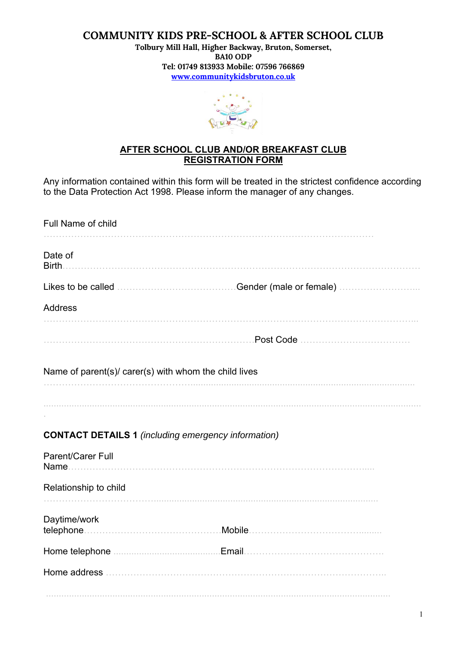#### **COMMUNITY KIDS PRE-SCHOOL & AFTER SCHOOL CLUB**

**Tolbury Mill Hall, Higher Backway, Bruton, Somerset, BA10 ODP Tel: 01749 813933 Mobile: 07596 766869 www.communitykidsbruton.co.uk**



#### **AFTER SCHOOL CLUB AND/OR BREAKFAST CLUB REGISTRATION FORM**

Any information contained within this form will be treated in the strictest confidence according to the Data Protection Act 1998. Please inform the manager of any changes.

| Full Name of child                                         |  |
|------------------------------------------------------------|--|
| Date of<br>Birth.                                          |  |
|                                                            |  |
| <b>Address</b>                                             |  |
|                                                            |  |
| Name of parent(s)/ carer(s) with whom the child lives      |  |
|                                                            |  |
|                                                            |  |
| <b>CONTACT DETAILS 1 (including emergency information)</b> |  |
| Parent/Carer Full<br>Name.                                 |  |
| Relationship to child                                      |  |
| Daytime/work                                               |  |
|                                                            |  |
|                                                            |  |
|                                                            |  |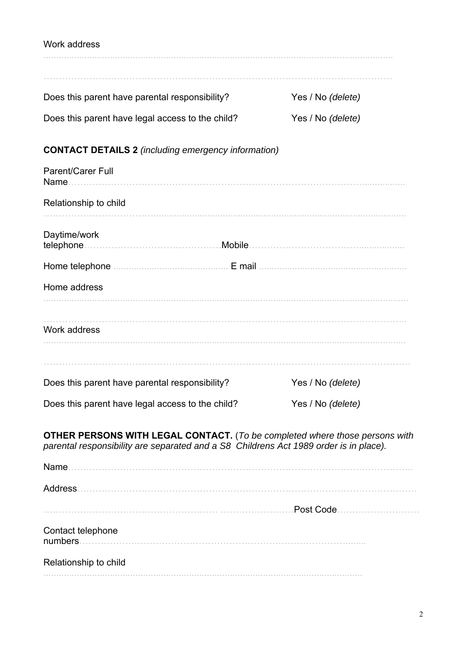# Work address ......................................................................................................................................... …………………………………………………………………………………………………… Does this parent have parental responsibility? Yes / No *(delete)* Does this parent have legal access to the child? Yes / No *(delete)*

## **CONTACT DETAILS 2** *(including emergency information)*

| Parent/Carer Full<br>Name.                                                            |                                                                                    |
|---------------------------------------------------------------------------------------|------------------------------------------------------------------------------------|
| Relationship to child                                                                 |                                                                                    |
| Daytime/work<br>telephone.                                                            |                                                                                    |
|                                                                                       |                                                                                    |
| Home address                                                                          |                                                                                    |
| Work address                                                                          |                                                                                    |
|                                                                                       |                                                                                    |
| Does this parent have parental responsibility?                                        | Yes / No (delete)                                                                  |
| Does this parent have legal access to the child?                                      | Yes / No (delete)                                                                  |
| parental responsibility are separated and a S8 Childrens Act 1989 order is in place). | <b>OTHER PERSONS WITH LEGAL CONTACT.</b> (To be completed where those persons with |
|                                                                                       |                                                                                    |
| <b>Address</b>                                                                        |                                                                                    |
|                                                                                       | Post Code                                                                          |
| Contact telephone<br>numbers                                                          |                                                                                    |
| Relationship to child                                                                 |                                                                                    |
|                                                                                       |                                                                                    |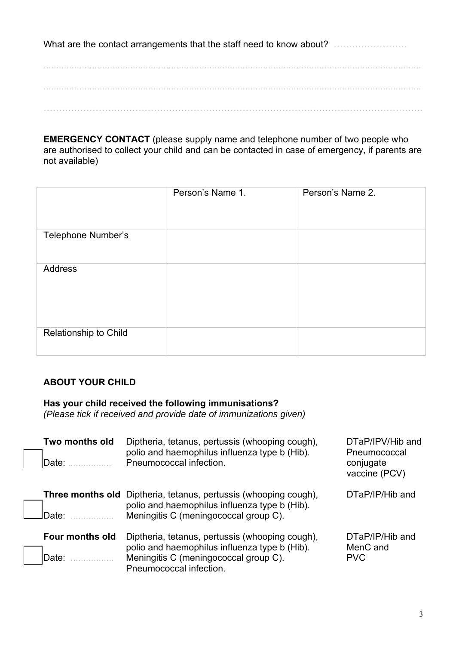What are the contact arrangements that the staff need to know about? …………………………… .................................................................................................................................................... …………………………………………………………………………………………………………….

**EMERGENCY CONTACT** (please supply name and telephone number of two people who are authorised to collect your child and can be contacted in case of emergency, if parents are not available)

|                       | Person's Name 1. | Person's Name 2. |
|-----------------------|------------------|------------------|
| Telephone Number's    |                  |                  |
| Address               |                  |                  |
| Relationship to Child |                  |                  |

### **ABOUT YOUR CHILD**

**Has your child received the following immunisations?** 

*(Please tick if received and provide date of immunizations given)*

| Two months old<br>Date:  | Diptheria, tetanus, pertussis (whooping cough),<br>polio and haemophilus influenza type b (Hib).<br>Pneumococcal infection.                                          | DTaP/IPV/Hib and<br>Pneumococcal<br>conjugate<br>vaccine (PCV) |
|--------------------------|----------------------------------------------------------------------------------------------------------------------------------------------------------------------|----------------------------------------------------------------|
| Date:                    | <b>Three months old</b> Diptheria, tetanus, pertussis (whooping cough),<br>polio and haemophilus influenza type b (Hib).<br>Meningitis C (meningococcal group C).    | DTaP/IP/Hib and                                                |
| Four months old<br>Date: | Diptheria, tetanus, pertussis (whooping cough),<br>polio and haemophilus influenza type b (Hib).<br>Meningitis C (meningococcal group C).<br>Pneumococcal infection. | DTaP/IP/Hib and<br>MenC and<br><b>PVC</b>                      |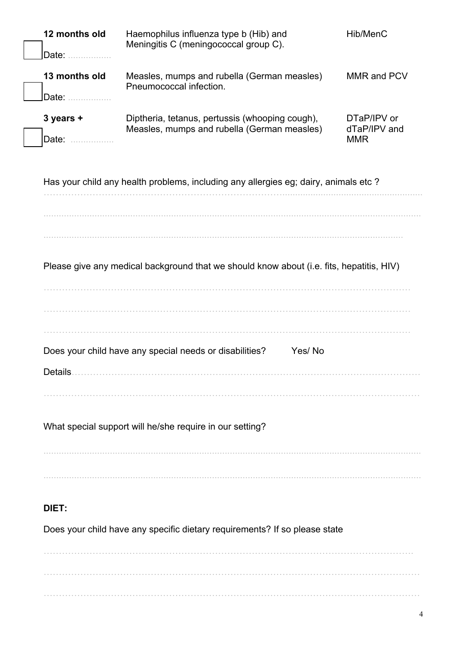| 12 months old<br>Date:                                                              | Haemophilus influenza type b (Hib) and<br>Meningitis C (meningococcal group C).                | Hib/MenC                                  |  |  |
|-------------------------------------------------------------------------------------|------------------------------------------------------------------------------------------------|-------------------------------------------|--|--|
| 13 months old<br>Date:                                                              | Measles, mumps and rubella (German measles)<br>Pneumococcal infection.                         | MMR and PCV                               |  |  |
| 3 years +<br>Date:                                                                  | Diptheria, tetanus, pertussis (whooping cough),<br>Measles, mumps and rubella (German measles) | DTaP/IPV or<br>dTaP/IPV and<br><b>MMR</b> |  |  |
|                                                                                     | Has your child any health problems, including any allergies eg; dairy, animals etc?            |                                           |  |  |
|                                                                                     | Please give any medical background that we should know about (i.e. fits, hepatitis, HIV)       |                                           |  |  |
| Does your child have any special needs or disabilities?<br>Yes/No<br><b>Details</b> |                                                                                                |                                           |  |  |
| What special support will he/she require in our setting?                            |                                                                                                |                                           |  |  |
| DIET:<br>Does your child have any specific dietary requirements? If so please state |                                                                                                |                                           |  |  |
|                                                                                     |                                                                                                |                                           |  |  |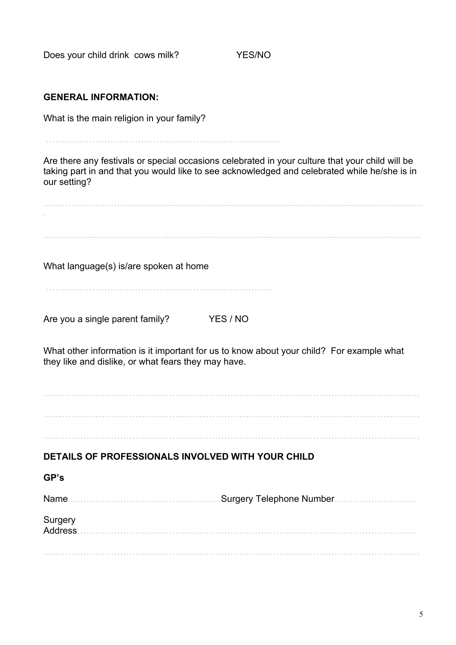Does your child drink cows milk? YES/NO

#### **GENERAL INFORMATION:**

What is the main religion in your family?

………………………………………………………................

Are there any festivals or special occasions celebrated in your culture that your child will be taking part in and that you would like to see acknowledged and celebrated while he/she is in our setting?

……………………….................................................................................................................... . .................................................................................................................................................... What language(s) is/are spoken at home ……………………………………………………………….. Are you a single parent family? YES / NO What other information is it important for us to know about your child? For example what they like and dislike, or what fears they may have. …………………………………………………………………………………………………………… **DETAILS OF PROFESSIONALS INVOLVED WITH YOUR CHILD GP's**  Name…………………………………………………………Surgery Telephone Number……………………………………………………………………………… **Surgery** Address…………………………………………………………………………………………………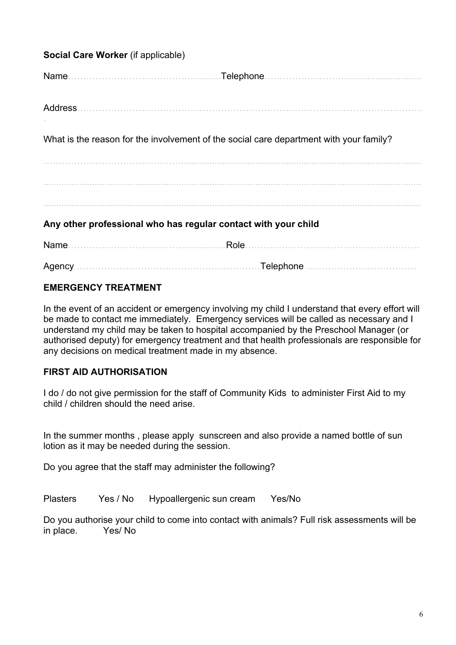| Social Care Worker (if applicable)                             |                                                                                        |  |  |
|----------------------------------------------------------------|----------------------------------------------------------------------------------------|--|--|
|                                                                |                                                                                        |  |  |
|                                                                | Address                                                                                |  |  |
|                                                                | What is the reason for the involvement of the social care department with your family? |  |  |
|                                                                |                                                                                        |  |  |
|                                                                |                                                                                        |  |  |
| Any other professional who has regular contact with your child |                                                                                        |  |  |
|                                                                |                                                                                        |  |  |
|                                                                |                                                                                        |  |  |

#### **EMERGENCY TREATMENT**

In the event of an accident or emergency involving my child I understand that every effort will be made to contact me immediately. Emergency services will be called as necessary and I understand my child may be taken to hospital accompanied by the Preschool Manager (or authorised deputy) for emergency treatment and that health professionals are responsible for any decisions on medical treatment made in my absence.

#### **FIRST AID AUTHORISATION**

I do / do not give permission for the staff of Community Kids to administer First Aid to my child / children should the need arise.

In the summer months , please apply sunscreen and also provide a named bottle of sun lotion as it may be needed during the session.

Do you agree that the staff may administer the following?

Plasters Yes / No Hypoallergenic sun cream Yes/No

Do you authorise your child to come into contact with animals? Full risk assessments will be in place. Yes/ No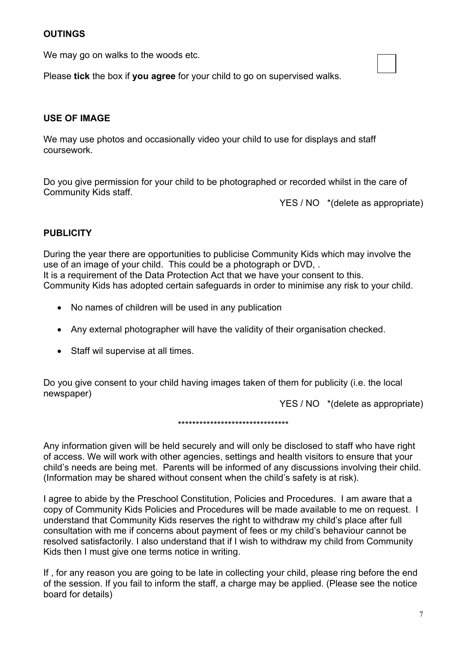#### **OUTINGS**

We may go on walks to the woods etc.

Please **tick** the box if **you agree** for your child to go on supervised walks.

#### **USE OF IMAGE**

We may use photos and occasionally video your child to use for displays and staff coursework.

Do you give permission for your child to be photographed or recorded whilst in the care of Community Kids staff.

YES / NO \*(delete as appropriate)

#### **PUBLICITY**

During the year there are opportunities to publicise Community Kids which may involve the use of an image of your child. This could be a photograph or DVD, . It is a requirement of the Data Protection Act that we have your consent to this. Community Kids has adopted certain safeguards in order to minimise any risk to your child.

- No names of children will be used in any publication
- Any external photographer will have the validity of their organisation checked.
- Staff wil supervise at all times.

Do you give consent to your child having images taken of them for publicity (i.e. the local newspaper)

YES / NO \*(delete as appropriate)

\*\*\*\*\*\*\*\*\*\*\*\*\*\*\*\*\*\*\*\*\*\*\*\*\*\*\*\*\*\*\*

Any information given will be held securely and will only be disclosed to staff who have right of access. We will work with other agencies, settings and health visitors to ensure that your child's needs are being met. Parents will be informed of any discussions involving their child. (Information may be shared without consent when the child's safety is at risk).

I agree to abide by the Preschool Constitution, Policies and Procedures. I am aware that a copy of Community Kids Policies and Procedures will be made available to me on request. I understand that Community Kids reserves the right to withdraw my child's place after full consultation with me if concerns about payment of fees or my child's behaviour cannot be resolved satisfactorily. I also understand that if I wish to withdraw my child from Community Kids then I must give one terms notice in writing.

If , for any reason you are going to be late in collecting your child, please ring before the end of the session. If you fail to inform the staff, a charge may be applied. (Please see the notice board for details)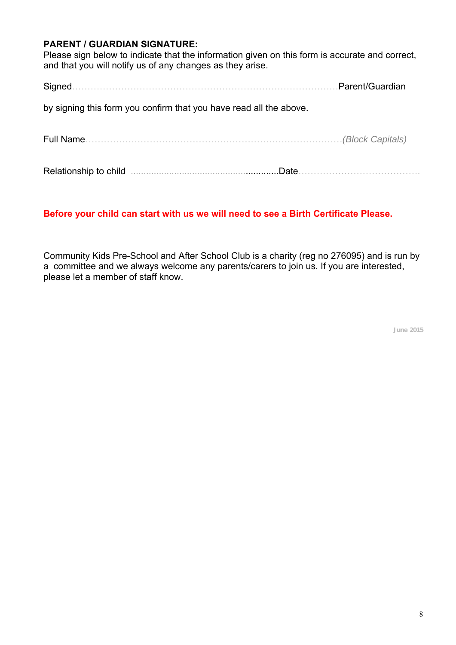#### **PARENT / GUARDIAN SIGNATURE:**

Please sign below to indicate that the information given on this form is accurate and correct, and that you will notify us of any changes as they arise.

Signed……………………………………………………………………………Parent/Guardian

by signing this form you confirm that you have read all the above.

Full Name…………………………………………………………………………*(Block Capitals)*

Relationship to child ..........................................................Date………………………………….

#### **Before your child can start with us we will need to see a Birth Certificate Please.**

Community Kids Pre-School and After School Club is a charity (reg no 276095) and is run by a committee and we always welcome any parents/carers to join us. If you are interested, please let a member of staff know.

**June 2015**